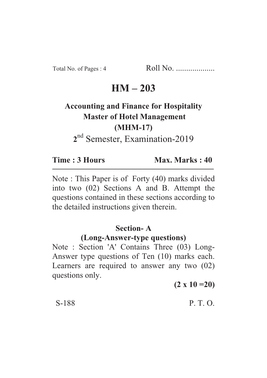Total No. of Pages : 4 Roll No. ...................

# **HM – 203**

# **Accounting and Finance for Hospitality Master of Hotel Management (MHM-17) 2** nd Semester, Examination-2019

**Time : 3 Hours Max. Marks : 40** 

Note : This Paper is of Forty (40) marks divided into two (02) Sections A and B. Attempt the questions contained in these sections according to the detailed instructions given therein.

# **Section- A**

# **(Long-Answer-type questions)**

Note : Section 'A' Contains Three (03) Long-Answer type questions of Ten (10) marks each. Learners are required to answer any two (02) questions only.

**(2 x 10 =20)**

### S-188 P. T. O.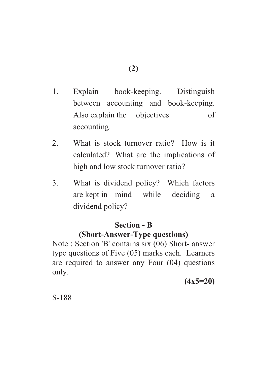- 1. Explain book-keeping. Distinguish between accounting and book-keeping. Also explain the objectives of accounting.
- 2. What is stock turnover ratio? How is it calculated? What are the implications of high and low stock turnover ratio?
- 3. What is dividend policy? Which factors are kept in mind while deciding a dividend policy?

# **Section - B**

# **(Short-Answer-Type questions)**

Note : Section 'B' contains six (06) Short- answer type questions of Five (05) marks each. Learners are required to answer any Four (04) questions only.

**(4x5=20)**

S-188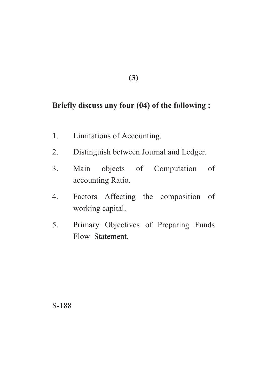## **(3)**

# **Briefly discuss any four (04) of the following :**

- 1. Limitations of Accounting.
- 2. Distinguish between Journal and Ledger.
- 3. Main objects of Computation of accounting Ratio.
- 4. Factors Affecting the composition of working capital.
- 5. Primary Objectives of Preparing Funds Flow Statement.

S-188